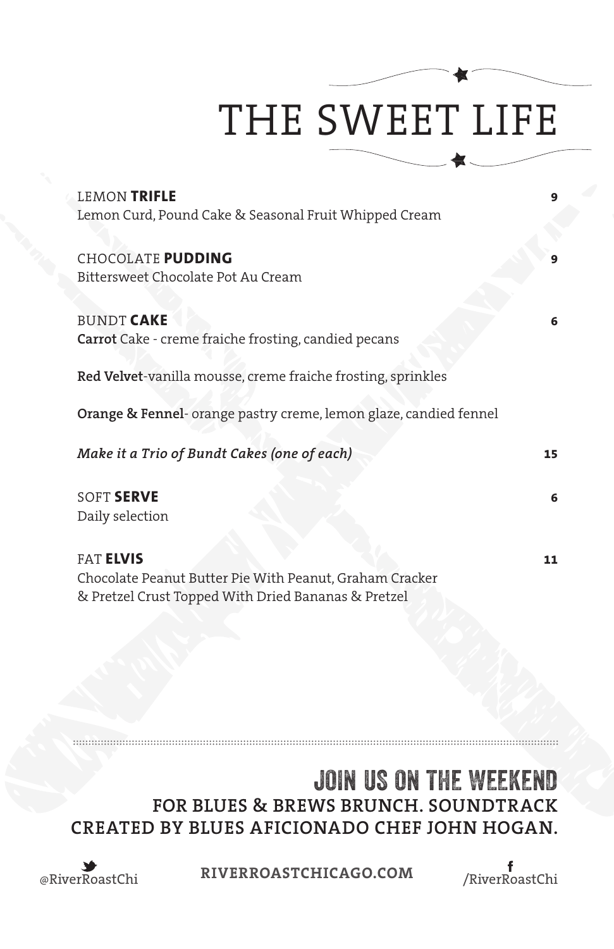# THE SWEET LIFE

| <b>LEMON TRIFLE</b>                                               |    |
|-------------------------------------------------------------------|----|
| Lemon Curd, Pound Cake & Seasonal Fruit Whipped Cream             |    |
|                                                                   |    |
| CHOCOLATE PUDDING                                                 | 9  |
| Bittersweet Chocolate Pot Au Cream                                |    |
|                                                                   |    |
| <b>BUNDT CAKE</b>                                                 | 6  |
| <b>Carrot</b> Cake - creme fraiche frosting, candied pecans       |    |
|                                                                   |    |
| Red Velvet-vanilla mousse, creme fraiche frosting, sprinkles      |    |
| Orange & Fennel- orange pastry creme, lemon glaze, candied fennel |    |
|                                                                   |    |
| Make it a Trio of Bundt Cakes (one of each)                       | 15 |
|                                                                   |    |
| <b>SOFT SERVE</b>                                                 | 6  |
| Daily selection                                                   |    |
|                                                                   |    |
| <b>FAT ELVIS</b>                                                  | 11 |
| Chocolate Peanut Butter Pie With Peanut, Graham Cracker           |    |
| & Pretzel Crust Topped With Dried Bananas & Pretzel               |    |
|                                                                   |    |

### JOIN US ON THE WEEKEND **FOR BLUES & BREWS BRUNCH. SOUNDTRACK CREATED BY BLUES AFICIONADO CHEF JOHN HOGAN.**



<u> :::::::::::::::::::::</u>

@RiverRoastChi **RIVERROASTCHICAGO.COM** /RiverRoastChi